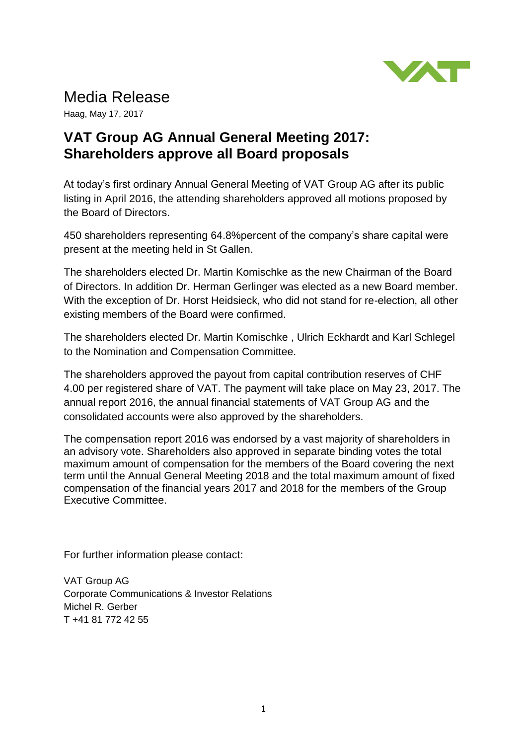

## Media Release

Haag, May 17, 2017

## **VAT Group AG Annual General Meeting 2017: Shareholders approve all Board proposals**

At today's first ordinary Annual General Meeting of VAT Group AG after its public listing in April 2016, the attending shareholders approved all motions proposed by the Board of Directors.

450 shareholders representing 64.8%percent of the company's share capital were present at the meeting held in St Gallen.

The shareholders elected Dr. Martin Komischke as the new Chairman of the Board of Directors. In addition Dr. Herman Gerlinger was elected as a new Board member. With the exception of Dr. Horst Heidsieck, who did not stand for re-election, all other existing members of the Board were confirmed.

The shareholders elected Dr. Martin Komischke , Ulrich Eckhardt and Karl Schlegel to the Nomination and Compensation Committee.

The shareholders approved the payout from capital contribution reserves of CHF 4.00 per registered share of VAT. The payment will take place on May 23, 2017. The annual report 2016, the annual financial statements of VAT Group AG and the consolidated accounts were also approved by the shareholders.

The compensation report 2016 was endorsed by a vast majority of shareholders in an advisory vote. Shareholders also approved in separate binding votes the total maximum amount of compensation for the members of the Board covering the next term until the Annual General Meeting 2018 and the total maximum amount of fixed compensation of the financial years 2017 and 2018 for the members of the Group Executive Committee.

For further information please contact:

VAT Group AG Corporate Communications & Investor Relations Michel R. Gerber T +41 81 772 42 55